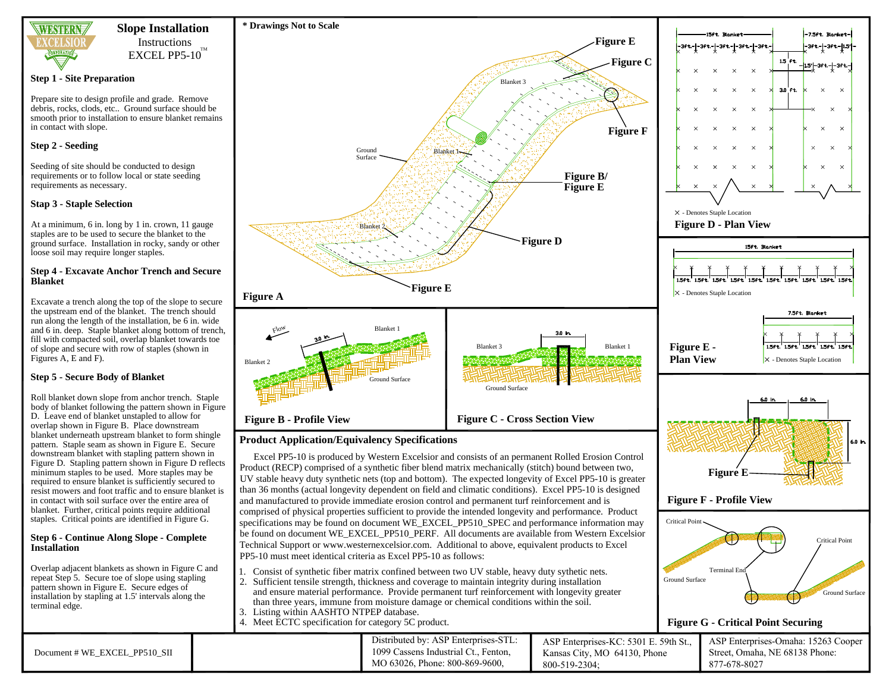

## **Slope Installation** Instructions

 $\rm EXCEL$  PP5-10 $^{\rm TM}$ 

#### **Step 1 - Site Preparation**

Prepare site to design profile and grade. Remove debris, rocks, clods, etc.. Ground surface should be smooth prior to installation to ensure blanket remains in contact with slope.

## **Step 2 - Seeding**

Seeding of site should be conducted to design requirements or to follow local or state seeding requirements as necessary.

## **Stap 3 - Staple Selection**

At a minimum, 6 in. long by 1 in. crown, 11 gauge staples are to be used to secure the blanket to the ground surface. Installation in rocky, sandy or other loose soil may require longer staples.

#### **Step 4 - Excavate Anchor Trench and Secure Blanket**

Excavate a trench along the top of the slope to secure and 6 in. deep. Staple blanket along bottom of trench,

# **Step 5 - Secure Body of Blanket**

Roll blanket down slope from anchor trench. Staple body of blanket following the pattern shown in Figure D. Leave end of blanket unstapled to allow for overlap shown in Figure B. Place downstream blanket underneath upstream blanket to form shingle pattern. Staple seam as shown in Figure E. Secure downstream blanket with stapling pattern shown in Figure D. Stapling pattern shown in Figure D reflects minimum staples to be used. More staples may be required to ensure blanket is sufficiently secured to resist mowers and foot traffic and to ensure blanket is in contact with soil surface over the entire area of blanket. Further, critical points require additional staples. Critical points are identified in Figure G.

### **Step 6 - Continue Along Slope - Complete Installation**

Overlap adjacent blankets as shown in Figure C and installation by stapling at 1.5' intervals along the terminal edge.

the upstream end of the blanket. The trench should run along the length of the installation, be 6 in. wide fill with compacted soil, overlap blanket towards toe of slope and secure with row of staples (shown in Figures A, E and F).

**Figure B - Profile View Figure C - Cross Section View Product Application/Equivalency Specifications** and manufactured to provide immediate erosion control and permanent turf reinforcement and is

repeat Step 5. Secure toe of slope using stapling pattern shown in Figure E. Secure edges of



4. Meet ECTC specification for category 5C product.

PP5-10 must meet identical criteria as Excel PP5-10 as follows:

**Figure A Figure E**

Blanket 2

Flow

**\* Drawings Not to Scale**

Ground Surface

**Blanke** 

**Blanket** 

Ground Surface



|                               | Distributed by: ASP Enterprises-STL: |                              | ASP Enterprises-KC: 5301 E. 59th St., ASP Enterprises-Omaha: 15263 Cooper |
|-------------------------------|--------------------------------------|------------------------------|---------------------------------------------------------------------------|
| Document # WE EXCEL PP510 SII | 1099 Cassens Industrial Ct., Fenton, | Kansas City, MO 64130, Phone | Street, Omaha, NE 68138 Phone:                                            |
|                               | MO 63026, Phone: 800-869-9600.       | 800-519-2304;                | 877-678-8027                                                              |

**Figure D**

Ground Surface

Blanket 3

Blanket 1-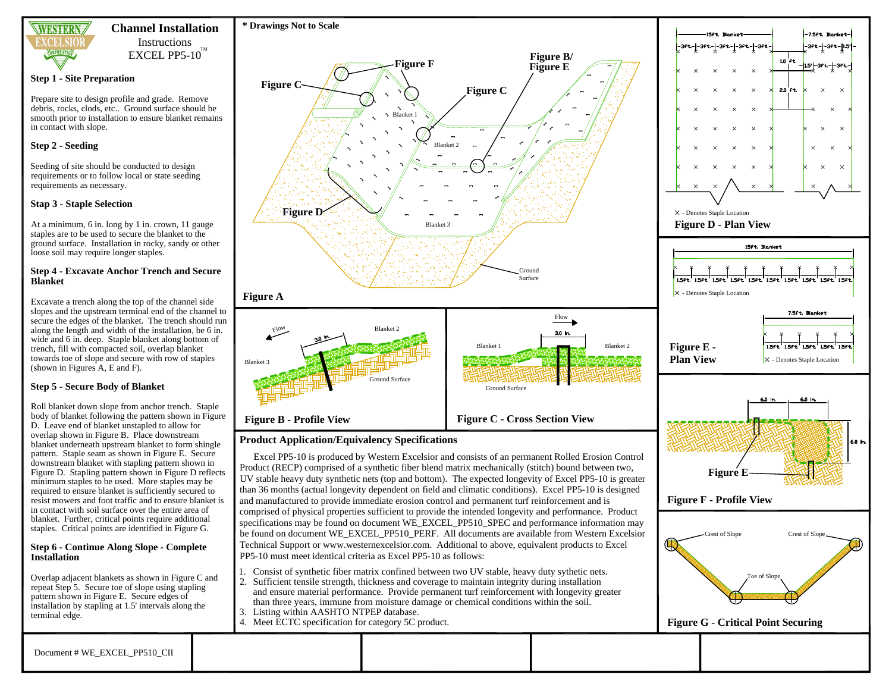

# **Channel Installation** Instructions

 $\rm EXCEL$  PP5-10 $^{\rm TM}$ 

### **Step 1 - Site Preparation**

Prepare site to design profile and grade. Remove debris, rocks, clods, etc.. Ground surface should be smooth prior to installation to ensure blanket remains in contact with slope.

## **Step 2 - Seeding**

Seeding of site should be conducted to design requirements or to follow local or state seeding requirements as necessary.

## **Stap 3 - Staple Selection**

At a minimum, 6 in. long by 1 in. crown, 11 gauge staples are to be used to secure the blanket to the ground surface. Installation in rocky, sandy or other loose soil may require longer staples.

#### **Step 4 - Excavate Anchor Trench and Secure Blanket**

Excavate a trench along the top of the channel side slopes and the upstream terminal end of the channel to secure the edges of the blanket. The trench should run along the length and width of the installation, be 6 in. wide and 6 in. deep. Staple blanket along bottom of trench, fill with compacted soil, overlap blanket towards toe of slope and secure with row of staples (shown in Figures A, E and F).

# **Step 5 - Secure Body of Blanket**

Roll blanket down slope from anchor trench. Staple body of blanket following the pattern shown in Figure D. Leave end of blanket unstapled to allow for overlap shown in Figure B. Place downstream blanket underneath upstream blanket to form shingle pattern. Staple seam as shown in Figure E. Secure downstream blanket with stapling pattern shown in Figure D. Stapling pattern shown in Figure D reflects minimum staples to be used. More staples may be required to ensure blanket is sufficiently secured to resist mowers and foot traffic and to ensure blanket is in contact with soil surface over the entire area of blanket. Further, critical points require additional staples. Critical points are identified in Figure G.

#### **Step 6 - Continue Along Slope - Complete Installation**

Overlap adjacent blankets as shown in Figure C and repeat Step 5. Secure toe of slope using stapling pattern shown in Figure E. Secure edges of installation by stapling at 1.5' intervals along the terminal edge.



# **Product Application/Equivalency Specifications**

Excel PP5-10 is produced by Western Excelsior and consists of an permanent Rolled Erosion Control Product (RECP) comprised of a synthetic fiber blend matrix mechanically (stitch) bound between two, UV stable heavy duty synthetic nets (top and bottom). The expected longevity of Excel PP5-10 is greater than 36 months (actual longevity dependent on field and climatic conditions). Excel PP5-10 is designed and manufactured to provide immediate erosion control and permanent turf reinforcement and is comprised of physical properties sufficient to provide the intended longevity and performance. Product specifications may be found on document WE\_EXCEL\_PP510\_SPEC and performance information may be found on document WE\_EXCEL\_PP510\_PERF. All documents are available from Western Excelsior Technical Support or www.westernexcelsior.com. Additional to above, equivalent products to Excel PP5-10 must meet identical criteria as Excel PP5-10 as follows:

- 1. Consist of synthetic fiber matrix confined between two UV stable, heavy duty sythetic nets.
- 2. Sufficient tensile strength, thickness and coverage to maintain integrity during installation and ensure material performance. Provide permanent turf reinforcement with longevity greater than three years, immune from moisture damage or chemical conditions within the soil.
- 3. Listing within AASHTO NTPEP database.
- 4. Meet ECTC specification for category 5C product.

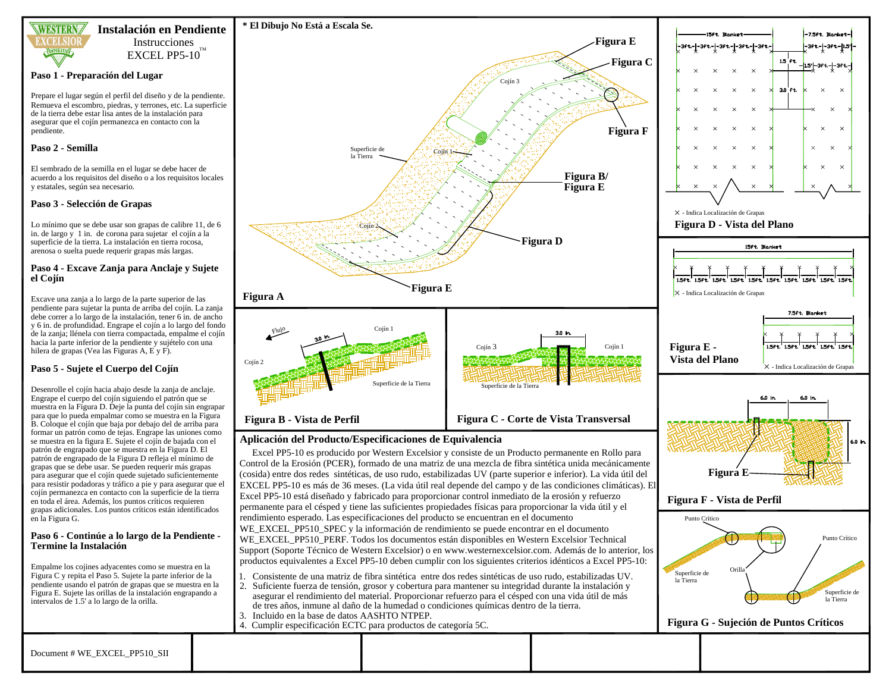

## **Instalación en Pendiente** Instrucciones

 $\rm EXCEL$  PP5-10 $^{\rm TM}$ 

#### **Paso 1 - Preparación del Lugar**

Prepare el lugar según el perfil del diseño y de la pendiente. Remueva el escombro, piedras, y terrones, etc. La superficie de la tierra debe estar lisa antes de la instalación para asegurar que el cojín permanezca en contacto con la pendiente.

### **Paso 2 - Semilla**

El sembrado de la semilla en el lugar se debe hacer de acuerdo a los requisitos del diseño o a los requisitos locales y estatales, según sea necesario.

### **Paso 3 - Selección de Grapas**

Lo mínimo que se debe usar son grapas de calibre 11, de 6 in. de largo y 1 in. de corona para sujetar el cojín a la superficie de la tierra. La instalación en tierra rocosa, arenosa o suelta puede requerir grapas más largas.

#### **Paso 4 - Excave Zanja para Anclaje y Sujete el Cojín**

Excave una zanja a lo largo de la parte superior de las pendiente para sujetar la punta de arriba del cojín. La zanja debe correr a lo largo de la instalación, tener 6 in. de ancho y 6 in. de profundidad. Engrape el cojín a lo largo del fondo de la zanja; llénela con tierra compactada, empalme el cojín hacia la parte inferior de la pendiente y sujételo con una hilera de grapas (Vea las Figuras A, E y F).

## **Paso 5 - Sujete el Cuerpo del Cojín**

Desenrolle el cojín hacia abajo desde la zanja de anclaje. Engrape el cuerpo del cojín siguiendo el patrón que se muestra en la Figura D. Deje la punta del cojín sin engrapar para que lo pueda empalmar como se muestra en la Figura B. Coloque el cojín que baja por debajo del de arriba para formar un patrón como de tejas. Engrape las uniones como se muestra en la figura E. Sujete el cojín de bajada con el patrón de engrapado que se muestra en la Figura D. El patrón de engrapado de la Figura D refleja el mínimo de grapas que se debe usar. Se pueden requerir más grapas para asegurar que el cojín quede sujetado suficientemente para resistir podadoras y tráfico a pie y para asegurar que el cojín permanezca en contacto con la superficie de la tierra en toda el área. Además, los puntos críticos requieren grapas adicionales. Los puntos críticos están identificados en la Figura G.

#### **Paso 6 - Continúe a lo largo de la Pendiente - Termine la Instalación**

Empalme los cojines adyacentes como se muestra en la Figura C y repita el Paso 5. Sujete la parte inferior de la pendiente usando el patrón de grapas que se muestra en la Figura E. Sujete las orillas de la instalación engrapando a intervalos de 1.5' a lo largo de la orilla.



## **Aplicación del Producto/Especificaciones de Equivalencia**

Excel PP5-10 es producido por Western Excelsior y consiste de un Producto permanente en Rollo para Control de la Erosión (PCER), formado de una matriz de una mezcla de fibra sintética unida mecánicamente (cosida) entre dos redes sintéticas, de uso rudo, estabilizadas UV (parte superior e inferior). La vida útil del EXCEL PP5-10 es más de 36 meses. (La vida útil real depende del campo y de las condiciones climáticas). El Excel PP5-10 está diseñado y fabricado para proporcionar control inmediato de la erosión y refuerzo permanente para el césped y tiene las suficientes propiedades físicas para proporcionar la vida útil y el rendimiento esperado. Las especificaciones del producto se encuentran en el documento WE\_EXCEL\_PP510\_SPEC y la información de rendimiento se puede encontrar en el documento WE\_EXCEL\_PP510\_PERF. Todos los documentos están disponibles en Western Excelsior Technical Support (Soporte Técnico de Western Excelsior) o en www.westernexcelsior.com. Además de lo anterior, los productos equivalentes a Excel PP5-10 deben cumplir con los siguientes criterios idénticos a Excel PP5-10:

- 1. Consistente de una matriz de fibra sintética entre dos redes sintéticas de uso rudo, estabilizadas UV.
- 2. Suficiente fuerza de tensión, grosor y cobertura para mantener su integridad durante la instalación y asegurar el rendimiento del material. Proporcionar refuerzo para el césped con una vida útil de más de tres años, inmune al daño de la humedad o condiciones químicas dentro de la tierra.
- 3. Incluido en la base de datos AASHTO NTPEP.
- 4. Cumplir especificación ECTC para productos de categoría 5C.